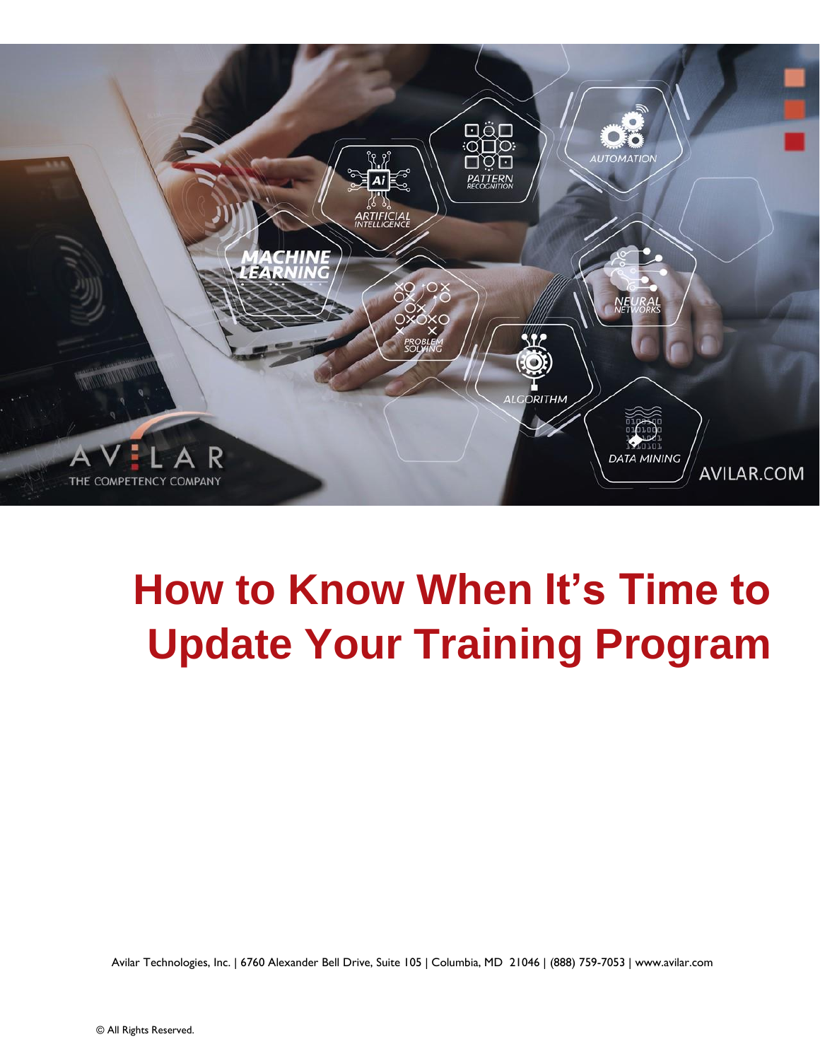

# **How to Know When It's Time to Update Your Training Program**

Avilar Technologies, Inc. | 6760 Alexander Bell Drive, Suite 105 | Columbia, MD 21046 | (888) 759-7053 | www.avilar.com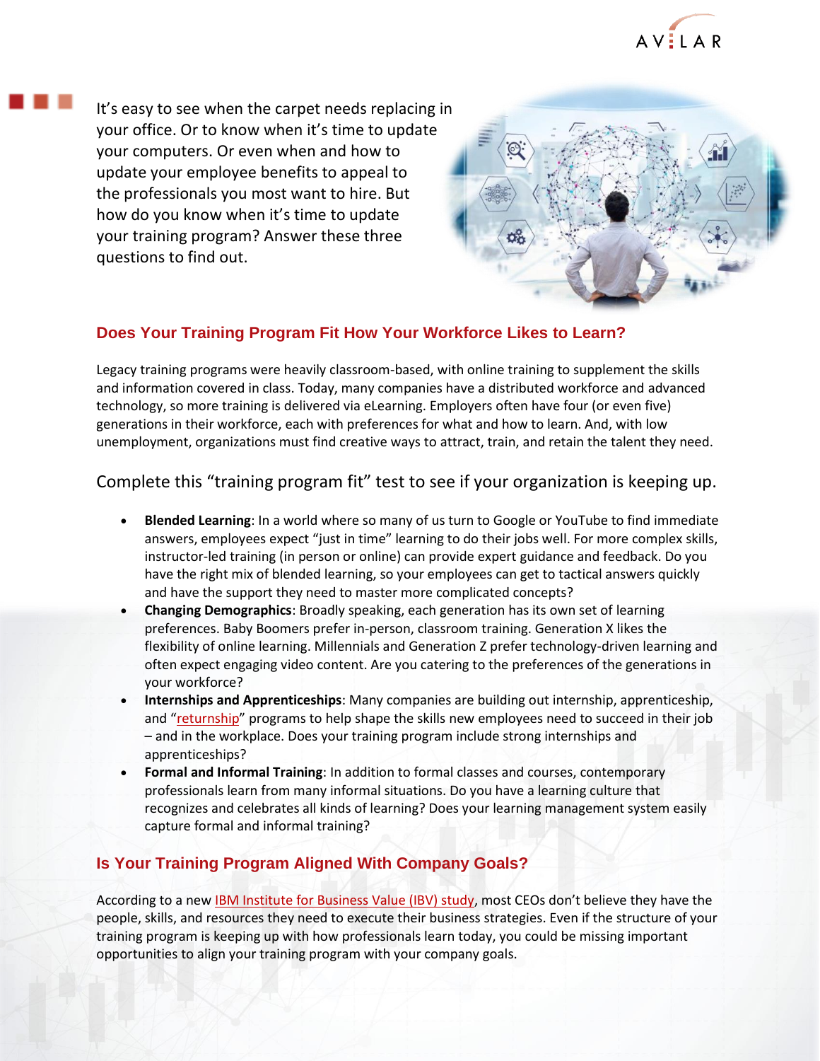

It's easy to see when the carpet needs replacing in your office. Or to know when it's time to update your computers. Or even when and how to update your employee benefits to appeal to the professionals you most want to hire. But how do you know when it's time to update your training program? Answer these three questions to find out.



## **Does Your Training Program Fit How Your Workforce Likes to Learn?**

Legacy training programs were heavily classroom-based, with online training to supplement the skills and information covered in class. Today, many companies have a distributed workforce and advanced technology, so more training is delivered via eLearning. Employers often have four (or even five) generations in their workforce, each with preferences for what and how to learn. And, with low unemployment, organizations must find creative ways to attract, train, and retain the talent they need.

# Complete this "training program fit" test to see if your organization is keeping up.

- **Blended Learning**: In a world where so many of us turn to Google or YouTube to find immediate answers, employees expect "just in time" learning to do their jobs well. For more complex skills, instructor-led training (in person or online) can provide expert guidance and feedback. Do you have the right mix of blended learning, so your employees can get to tactical answers quickly and have the support they need to master more complicated concepts?
- **Changing Demographics**: Broadly speaking, each generation has its own set of learning preferences. Baby Boomers prefer in-person, classroom training. Generation X likes the flexibility of online learning. Millennials and Generation Z prefer technology-driven learning and often expect engaging video content. Are you catering to the preferences of the generations in your workforce?
- **Internships and Apprenticeships**: Many companies are building out internship, apprenticeship, and "[returnship](https://www.forbes.com/sites/jasonwingard/2019/02/13/are-returnships-the-key-to-relaunching-your-career/#4b9f90763cdf)" programs to help shape the skills new employees need to succeed in their job – and in the workplace. Does your training program include strong internships and apprenticeships?
- **Formal and Informal Training**: In addition to formal classes and courses, contemporary professionals learn from many informal situations. Do you have a learning culture that recognizes and celebrates all kinds of learning? Does your learning management system easily capture formal and informal training?

## **Is Your Training Program Aligned With Company Goals?**

According to a new [IBM Institute for Business Value \(IBV\) study](https://newsroom.ibm.com/2019-09-06-IBM-Study-The-Skills-Gap-is-Not-a-Myth-But-Can-Be-Addressed-with-Real-Solutions), most CEOs don't believe they have the people, skills, and resources they need to execute their business strategies. Even if the structure of your training program is keeping up with how professionals learn today, you could be missing important opportunities to align your training program with your company goals.